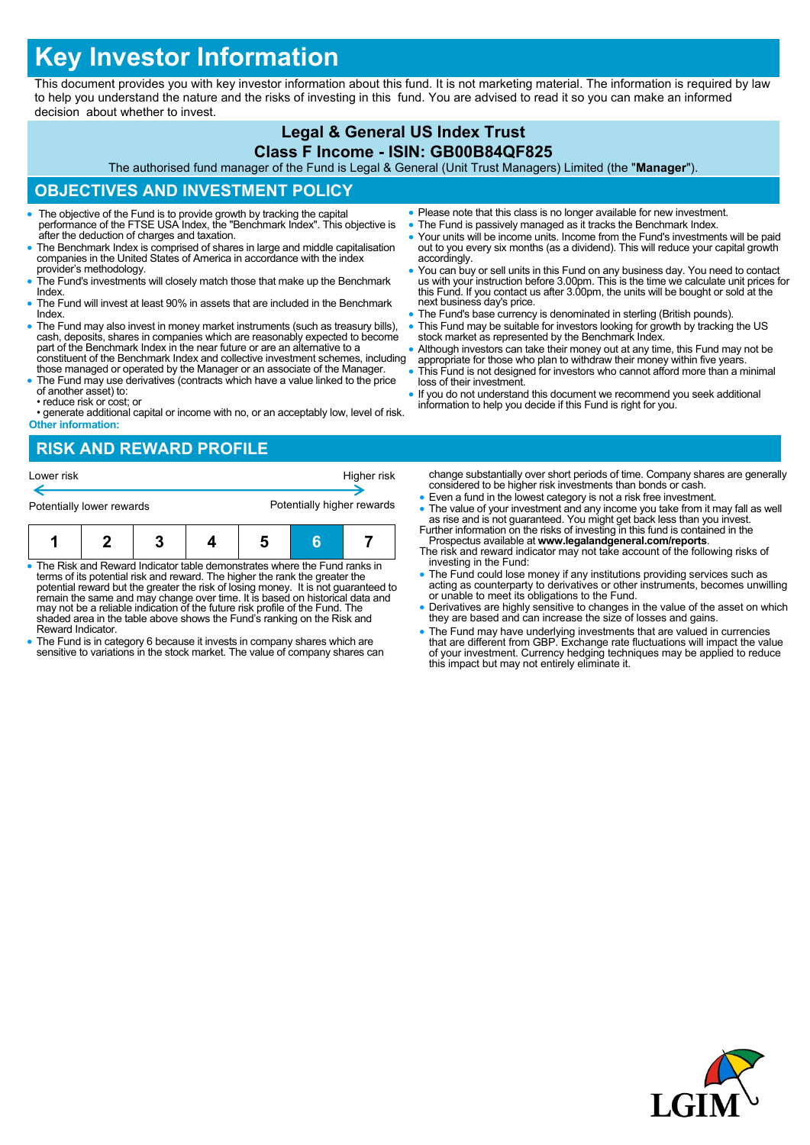# **Key Investor Information**

This document provides you with key investor information about this fund. It is not marketing material. The information is required by law to help you understand the nature and the risks of investing in this fund. You are advised to read it so you can make an informed decision about whether to invest.

## **Legal & General US Index Trust Class F Income - ISIN: GB00B84QF825**

The authorised fund manager of the Fund is Legal & General (Unit Trust Managers) Limited (the "**Manager**").

## **OBJECTIVES AND INVESTMENT POLICY**

- The objective of the Fund is to provide growth by tracking the capital performance of the FTSE USA Index, the "Benchmark Index". This objective is after the deduction of charges and taxation.
- The Benchmark Index is comprised of shares in large and middle capitalisation companies in the United States of America in accordance with the index provider's methodology.
- The Fund's investments will closely match those that make up the Benchmark Index.
- The Fund will invest at least 90% in assets that are included in the Benchmark Index.
- The Fund may also invest in money market instruments (such as treasury bills), cash, deposits, shares in companies which are reasonably expected to become part of the Benchmark Index in the near future or are an alternative to a constituent of the Benchmark Index and collective investment schemes, including
- those managed or operated by the Manager or an associate of the Manager. The Fund may use derivatives (contracts which have a value linked to the price
- of another asset) to: • reduce risk or cost; or

• generate additional capital or income with no, or an acceptably low, level of risk. **Other information:**

- Please note that this class is no longer available for new investment.
- The Fund is passively managed as it tracks the Benchmark Index.
- Your units will be income units. Income from the Fund's investments will be paid out to you every six months (as a dividend). This will reduce your capital growth accordingly.
- You can buy or sell units in this Fund on any business day. You need to contact us with your instruction before 3.00pm. This is the time we calculate unit prices for this Fund. If you contact us after 3.00pm, the units will be bought or sold at the next business day's price.
- **The Fund's base currency is denominated in sterling (British pounds)**.
- This Fund may be suitable for investors looking for growth by tracking the US stock market as represented by the Benchmark Index.
- Although investors can take their money out at any time, this Fund may not be appropriate for those who plan to withdraw their money within five years.
- This Fund is not designed for investors who cannot afford more than a minimal loss of their investment.
- If you do not understand this document we recommend you seek additional information to help you decide if this Fund is right for you.

# **RISK AND REWARD PROFILE**



- The Risk and Reward Indicator table demonstrates where the Fund ranks in terms of its potential risk and reward. The higher the rank the greater the potential reward but the greater the risk of losing money. It is not guaranteed to remain the same and may change over time. It is based on historical data and may not be a reliable indication of the future risk profile of the Fund. The shaded area in the table above shows the Fund's ranking on the Risk and Reward Indicator.
- The Fund is in category 6 because it invests in company shares which are sensitive to variations in the stock market. The value of company shares can
- change substantially over short periods of time. Company shares are generally considered to be higher risk investments than bonds or cash.
- Even a fund in the lowest category is not a risk free investment. • The value of your investment and any income you take from it may fall as well as rise and is not guaranteed. You might get back less than you invest.<br>Further information on the risks of investing in this fund is containe
- Prospectus available at **www.legalandgeneral.com/reports**.
- The risk and reward indicator may not take account of the following risks of investing in the Fund:
- The Fund could lose money if any institutions providing services such as acting as counterparty to derivatives or other instruments, becomes unwilling or unable to meet its obligations to the Fund.
- Derivatives are highly sensitive to changes in the value of the asset on which they are based and can increase the size of losses and gains.
- The Fund may have underlying investments that are valued in currencies that are different from GBP. Exchange rate fluctuations will impact the value of your investment. Currency hedging techniques may be applied to reduce this impact but may not entirely eliminate it.